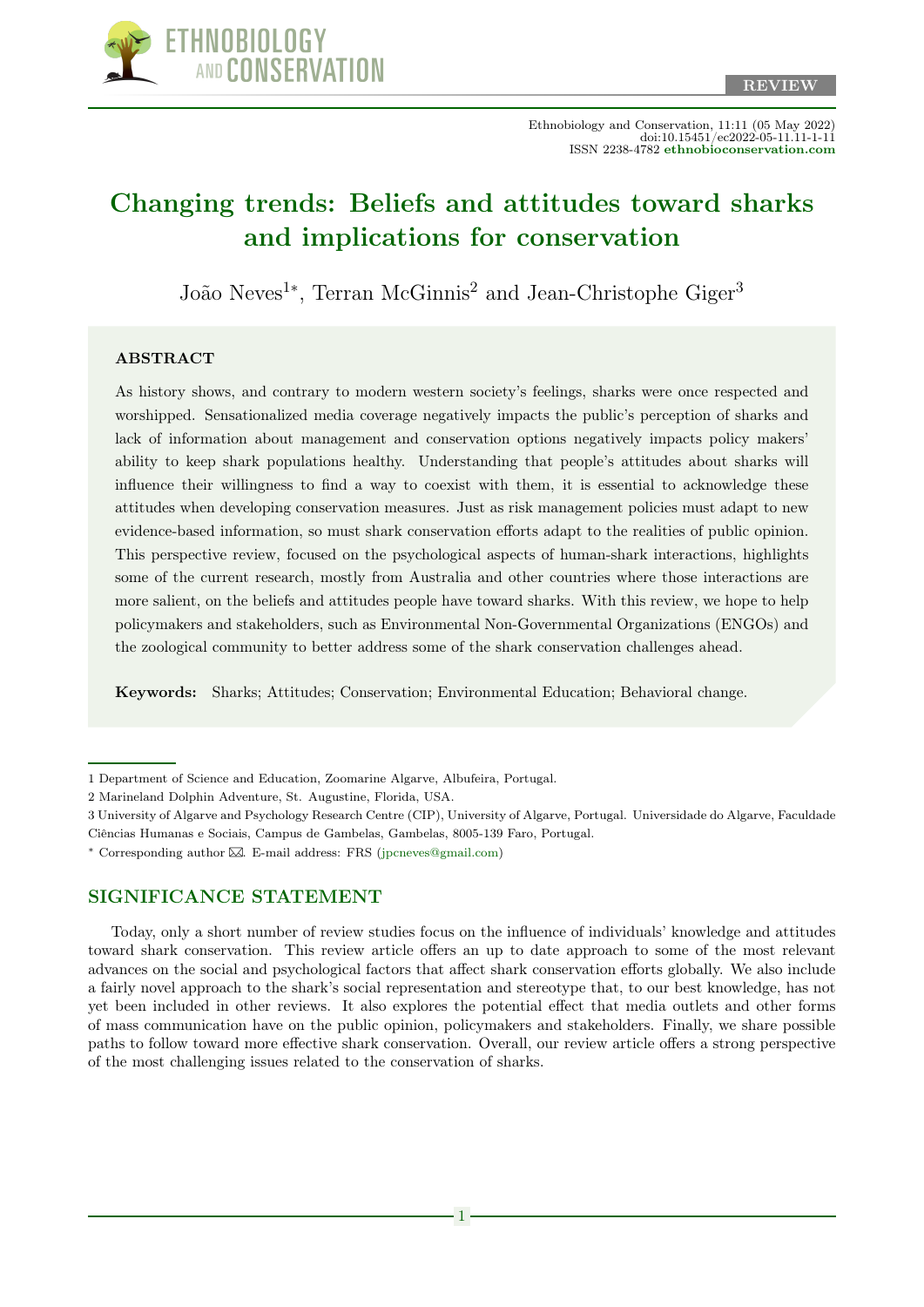

Ethnobiology and Conservation, 11:11 (05 May 2022) doi:10.15451/ec2022-05-11.11-1-11 ISSN 2238-4782 [ethnobioconservation.com](https://ethnobioconservation.com/index.php/ebc)

# [Changing trends: Beliefs and attitudes toward sharks](https://ethnobioconservation.com/index.php/ebc/article/view/631) [and implications for conservation](https://ethnobioconservation.com/index.php/ebc/article/view/631)

João Neves<sup>1\*</sup>, Terran McGinnis<sup>2</sup> and Jean-Christophe Giger<sup>3</sup>

#### ABSTRACT

As history shows, and contrary to modern western society's feelings, sharks were once respected and worshipped. Sensationalized media coverage negatively impacts the public's perception of sharks and lack of information about management and conservation options negatively impacts policy makers' ability to keep shark populations healthy. Understanding that people's attitudes about sharks will influence their willingness to find a way to coexist with them, it is essential to acknowledge these attitudes when developing conservation measures. Just as risk management policies must adapt to new evidence-based information, so must shark conservation efforts adapt to the realities of public opinion. This perspective review, focused on the psychological aspects of human-shark interactions, highlights some of the current research, mostly from Australia and other countries where those interactions are more salient, on the beliefs and attitudes people have toward sharks. With this review, we hope to help policymakers and stakeholders, such as Environmental Non-Governmental Organizations (ENGOs) and the zoological community to better address some of the shark conservation challenges ahead.

Keywords: Sharks; Attitudes; Conservation; Environmental Education; Behavioral change.

#### SIGNIFICANCE STATEMENT

Today, only a short number of review studies focus on the influence of individuals' knowledge and attitudes toward shark conservation. This review article offers an up to date approach to some of the most relevant advances on the social and psychological factors that affect shark conservation efforts globally. We also include a fairly novel approach to the shark's social representation and stereotype that, to our best knowledge, has not yet been included in other reviews. It also explores the potential effect that media outlets and other forms of mass communication have on the public opinion, policymakers and stakeholders. Finally, we share possible paths to follow toward more effective shark conservation. Overall, our review article offers a strong perspective of the most challenging issues related to the conservation of sharks.

<sup>1</sup> Department of Science and Education, Zoomarine Algarve, Albufeira, Portugal.

<sup>2</sup> Marineland Dolphin Adventure, St. Augustine, Florida, USA.

<sup>3</sup> University of Algarve and Psychology Research Centre (CIP), University of Algarve, Portugal. Universidade do Algarve, Faculdade Ciências Humanas e Sociais, Campus de Gambelas, Gambelas, 8005-139 Faro, Portugal.

<sup>∗</sup> Corresponding author [.](mailto:jpcneves@gmail.com) E-mail address: FRS [\(jpcneves@gmail.com\)](mailto:jpcneves@gmail.com)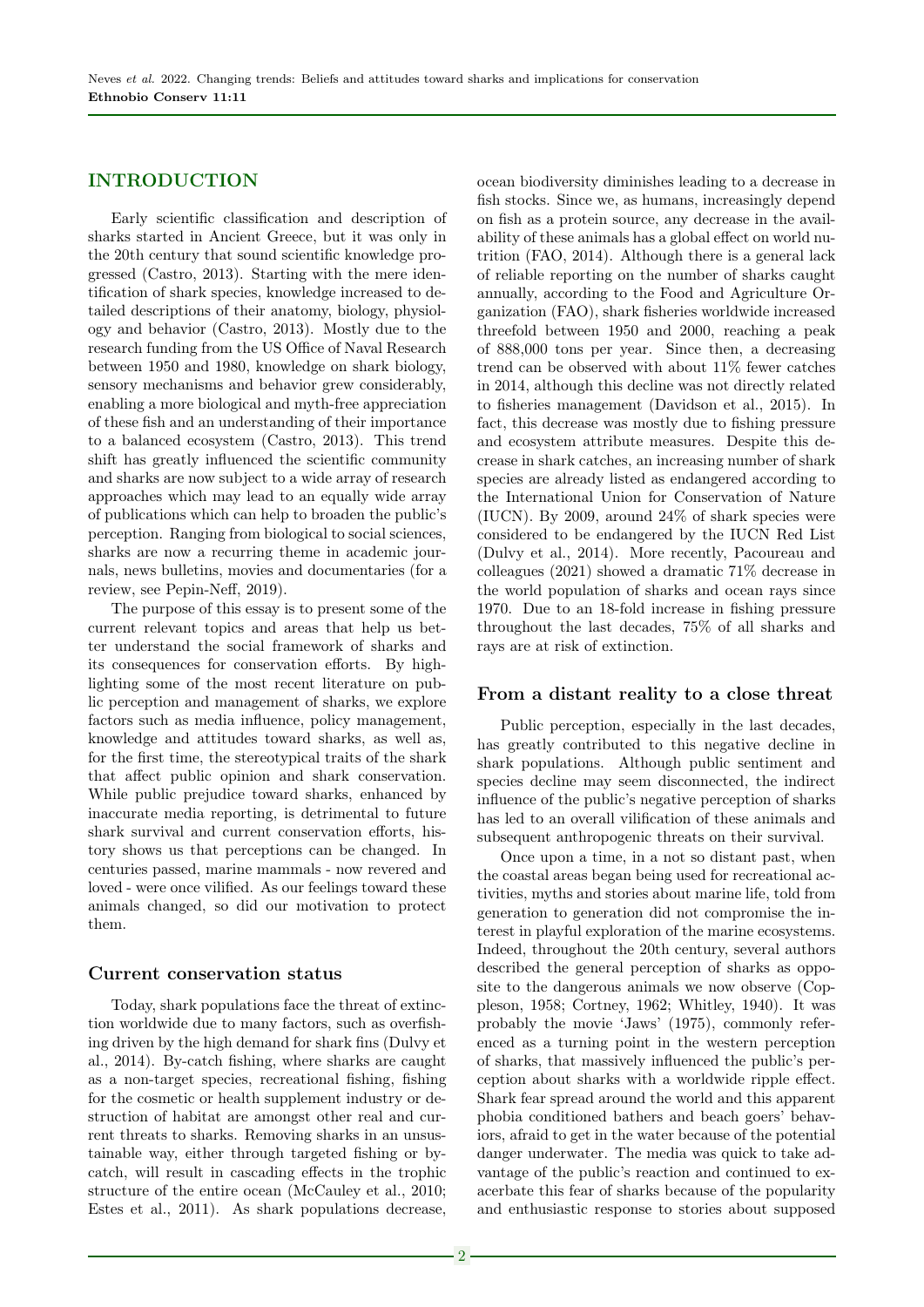## INTRODUCTION

Early scientific classification and description of sharks started in Ancient Greece, but it was only in the 20th century that sound scientific knowledge progressed (Castro, 2013). Starting with the mere identification of shark species, knowledge increased to detailed descriptions of their anatomy, biology, physiology and behavior (Castro, 2013). Mostly due to the research funding from the US Office of Naval Research between 1950 and 1980, knowledge on shark biology, sensory mechanisms and behavior grew considerably, enabling a more biological and myth-free appreciation of these fish and an understanding of their importance to a balanced ecosystem (Castro, 2013). This trend shift has greatly influenced the scientific community and sharks are now subject to a wide array of research approaches which may lead to an equally wide array of publications which can help to broaden the public's perception. Ranging from biological to social sciences, sharks are now a recurring theme in academic journals, news bulletins, movies and documentaries (for a review, see Pepin-Neff, 2019).

The purpose of this essay is to present some of the current relevant topics and areas that help us better understand the social framework of sharks and its consequences for conservation efforts. By highlighting some of the most recent literature on public perception and management of sharks, we explore factors such as media influence, policy management, knowledge and attitudes toward sharks, as well as, for the first time, the stereotypical traits of the shark that affect public opinion and shark conservation. While public prejudice toward sharks, enhanced by inaccurate media reporting, is detrimental to future shark survival and current conservation efforts, history shows us that perceptions can be changed. In centuries passed, marine mammals - now revered and loved - were once vilified. As our feelings toward these animals changed, so did our motivation to protect them.

#### Current conservation status

Today, shark populations face the threat of extinction worldwide due to many factors, such as overfishing driven by the high demand for shark fins (Dulvy et al., 2014). By-catch fishing, where sharks are caught as a non-target species, recreational fishing, fishing for the cosmetic or health supplement industry or destruction of habitat are amongst other real and current threats to sharks. Removing sharks in an unsustainable way, either through targeted fishing or bycatch, will result in cascading effects in the trophic structure of the entire ocean (McCauley et al., 2010; Estes et al., 2011). As shark populations decrease,

ocean biodiversity diminishes leading to a decrease in fish stocks. Since we, as humans, increasingly depend on fish as a protein source, any decrease in the availability of these animals has a global effect on world nutrition (FAO, 2014). Although there is a general lack of reliable reporting on the number of sharks caught annually, according to the Food and Agriculture Organization (FAO), shark fisheries worldwide increased threefold between 1950 and 2000, reaching a peak of 888,000 tons per year. Since then, a decreasing trend can be observed with about 11% fewer catches in 2014, although this decline was not directly related to fisheries management (Davidson et al., 2015). In fact, this decrease was mostly due to fishing pressure and ecosystem attribute measures. Despite this decrease in shark catches, an increasing number of shark species are already listed as endangered according to the International Union for Conservation of Nature (IUCN). By 2009, around 24% of shark species were considered to be endangered by the IUCN Red List (Dulvy et al., 2014). More recently, Pacoureau and colleagues (2021) showed a dramatic 71% decrease in the world population of sharks and ocean rays since 1970. Due to an 18-fold increase in fishing pressure throughout the last decades, 75% of all sharks and rays are at risk of extinction.

## From a distant reality to a close threat

Public perception, especially in the last decades, has greatly contributed to this negative decline in shark populations. Although public sentiment and species decline may seem disconnected, the indirect influence of the public's negative perception of sharks has led to an overall vilification of these animals and subsequent anthropogenic threats on their survival.

Once upon a time, in a not so distant past, when the coastal areas began being used for recreational activities, myths and stories about marine life, told from generation to generation did not compromise the interest in playful exploration of the marine ecosystems. Indeed, throughout the 20th century, several authors described the general perception of sharks as opposite to the dangerous animals we now observe (Coppleson, 1958; Cortney, 1962; Whitley, 1940). It was probably the movie 'Jaws' (1975), commonly referenced as a turning point in the western perception of sharks, that massively influenced the public's perception about sharks with a worldwide ripple effect. Shark fear spread around the world and this apparent phobia conditioned bathers and beach goers' behaviors, afraid to get in the water because of the potential danger underwater. The media was quick to take advantage of the public's reaction and continued to exacerbate this fear of sharks because of the popularity and enthusiastic response to stories about supposed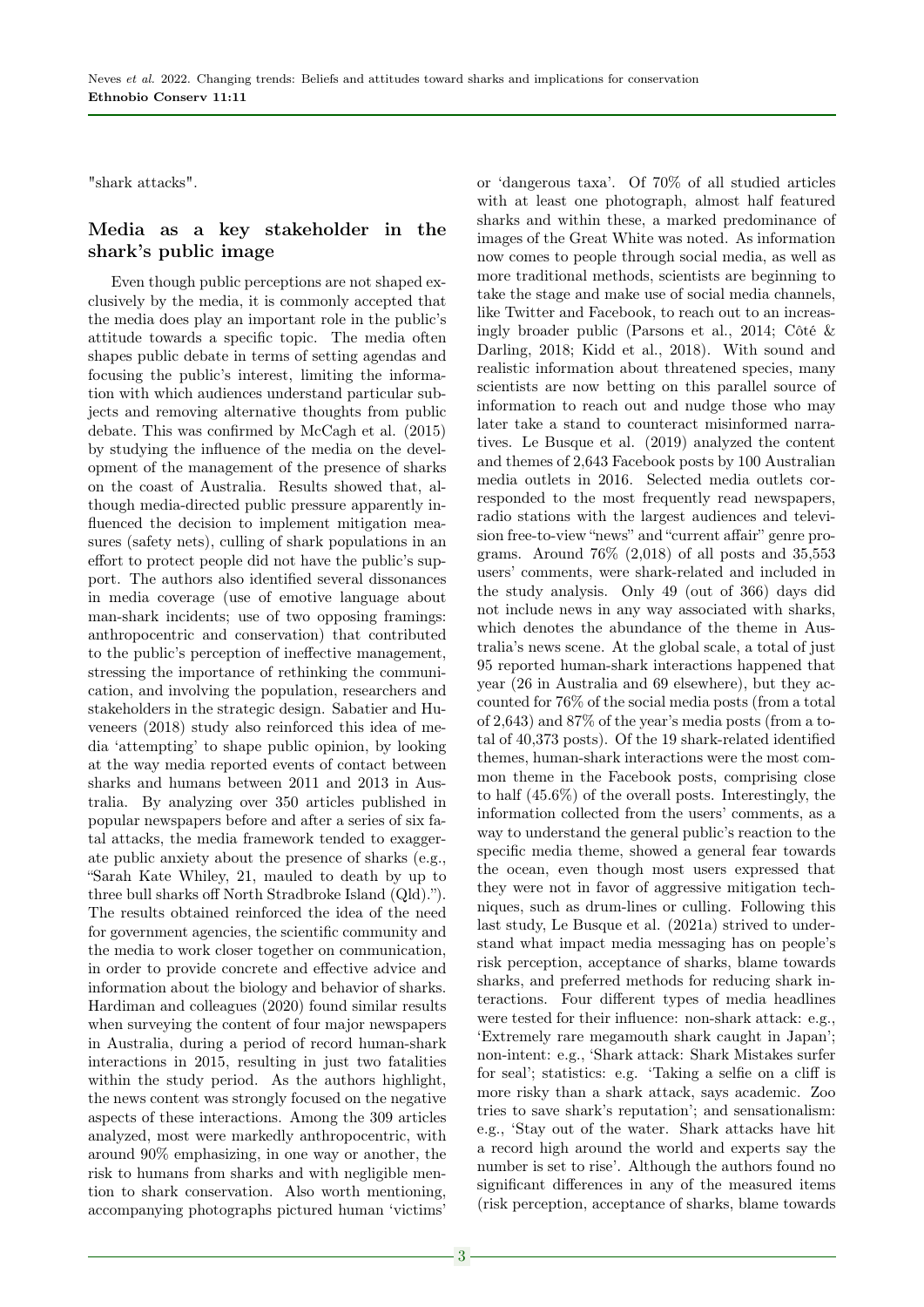"shark attacks".

## Media as a key stakeholder in the shark's public image

Even though public perceptions are not shaped exclusively by the media, it is commonly accepted that the media does play an important role in the public's attitude towards a specific topic. The media often shapes public debate in terms of setting agendas and focusing the public's interest, limiting the information with which audiences understand particular subjects and removing alternative thoughts from public debate. This was confirmed by McCagh et al. (2015) by studying the influence of the media on the development of the management of the presence of sharks on the coast of Australia. Results showed that, although media-directed public pressure apparently influenced the decision to implement mitigation measures (safety nets), culling of shark populations in an effort to protect people did not have the public's support. The authors also identified several dissonances in media coverage (use of emotive language about man-shark incidents; use of two opposing framings: anthropocentric and conservation) that contributed to the public's perception of ineffective management, stressing the importance of rethinking the communication, and involving the population, researchers and stakeholders in the strategic design. Sabatier and Huveneers (2018) study also reinforced this idea of media 'attempting' to shape public opinion, by looking at the way media reported events of contact between sharks and humans between 2011 and 2013 in Australia. By analyzing over 350 articles published in popular newspapers before and after a series of six fatal attacks, the media framework tended to exaggerate public anxiety about the presence of sharks (e.g., "Sarah Kate Whiley, 21, mauled to death by up to three bull sharks off North Stradbroke Island (Qld)."). The results obtained reinforced the idea of the need for government agencies, the scientific community and the media to work closer together on communication, in order to provide concrete and effective advice and information about the biology and behavior of sharks. Hardiman and colleagues (2020) found similar results when surveying the content of four major newspapers in Australia, during a period of record human-shark interactions in 2015, resulting in just two fatalities within the study period. As the authors highlight, the news content was strongly focused on the negative aspects of these interactions. Among the 309 articles analyzed, most were markedly anthropocentric, with around 90% emphasizing, in one way or another, the risk to humans from sharks and with negligible mention to shark conservation. Also worth mentioning, accompanying photographs pictured human 'victims'

or 'dangerous taxa'. Of 70% of all studied articles with at least one photograph, almost half featured sharks and within these, a marked predominance of images of the Great White was noted. As information now comes to people through social media, as well as more traditional methods, scientists are beginning to take the stage and make use of social media channels, like Twitter and Facebook, to reach out to an increasingly broader public (Parsons et al., 2014; Côté & Darling, 2018; Kidd et al., 2018). With sound and realistic information about threatened species, many scientists are now betting on this parallel source of information to reach out and nudge those who may later take a stand to counteract misinformed narratives. Le Busque et al. (2019) analyzed the content and themes of 2,643 Facebook posts by 100 Australian media outlets in 2016. Selected media outlets corresponded to the most frequently read newspapers, radio stations with the largest audiences and television free-to-view "news" and "current affair" genre programs. Around  $76\%$  (2,018) of all posts and 35,553 users' comments, were shark-related and included in the study analysis. Only 49 (out of 366) days did not include news in any way associated with sharks, which denotes the abundance of the theme in Australia's news scene. At the global scale, a total of just 95 reported human-shark interactions happened that year (26 in Australia and 69 elsewhere), but they accounted for 76% of the social media posts (from a total of 2,643) and 87% of the year's media posts (from a total of 40,373 posts). Of the 19 shark-related identified themes, human-shark interactions were the most common theme in the Facebook posts, comprising close to half (45.6%) of the overall posts. Interestingly, the information collected from the users' comments, as a way to understand the general public's reaction to the specific media theme, showed a general fear towards the ocean, even though most users expressed that they were not in favor of aggressive mitigation techniques, such as drum-lines or culling. Following this last study, Le Busque et al. (2021a) strived to understand what impact media messaging has on people's risk perception, acceptance of sharks, blame towards sharks, and preferred methods for reducing shark interactions. Four different types of media headlines were tested for their influence: non-shark attack: e.g., 'Extremely rare megamouth shark caught in Japan'; non-intent: e.g., 'Shark attack: Shark Mistakes surfer for seal'; statistics: e.g. 'Taking a selfie on a cliff is more risky than a shark attack, says academic. Zoo tries to save shark's reputation'; and sensationalism: e.g., 'Stay out of the water. Shark attacks have hit a record high around the world and experts say the number is set to rise'. Although the authors found no significant differences in any of the measured items (risk perception, acceptance of sharks, blame towards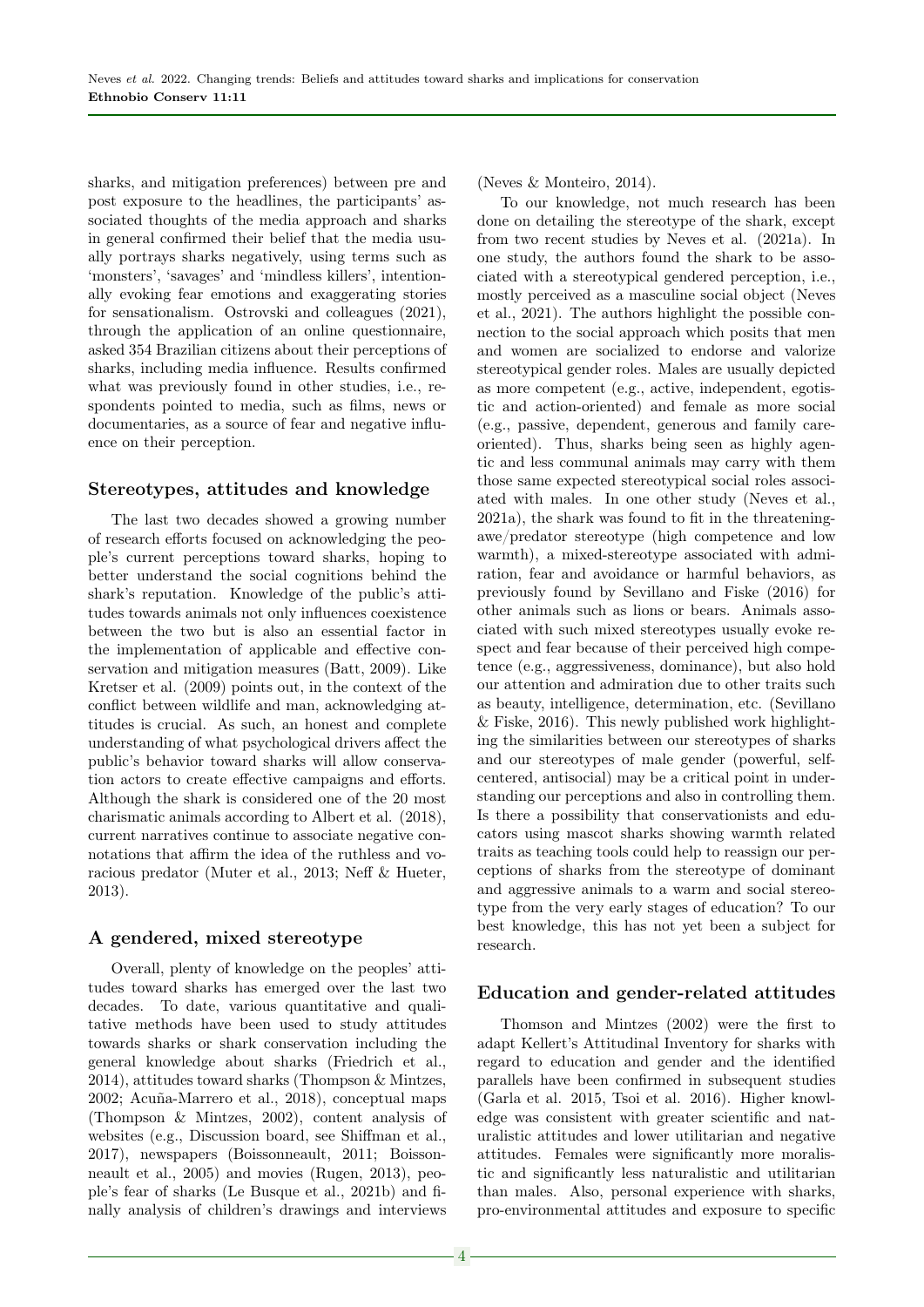sharks, and mitigation preferences) between pre and post exposure to the headlines, the participants' associated thoughts of the media approach and sharks in general confirmed their belief that the media usually portrays sharks negatively, using terms such as 'monsters', 'savages' and 'mindless killers', intentionally evoking fear emotions and exaggerating stories for sensationalism. Ostrovski and colleagues (2021), through the application of an online questionnaire, asked 354 Brazilian citizens about their perceptions of sharks, including media influence. Results confirmed what was previously found in other studies, i.e., respondents pointed to media, such as films, news or documentaries, as a source of fear and negative influence on their perception.

## Stereotypes, attitudes and knowledge

The last two decades showed a growing number of research efforts focused on acknowledging the people's current perceptions toward sharks, hoping to better understand the social cognitions behind the shark's reputation. Knowledge of the public's attitudes towards animals not only influences coexistence between the two but is also an essential factor in the implementation of applicable and effective conservation and mitigation measures (Batt, 2009). Like Kretser et al. (2009) points out, in the context of the conflict between wildlife and man, acknowledging attitudes is crucial. As such, an honest and complete understanding of what psychological drivers affect the public's behavior toward sharks will allow conservation actors to create effective campaigns and efforts. Although the shark is considered one of the 20 most charismatic animals according to Albert et al. (2018), current narratives continue to associate negative connotations that affirm the idea of the ruthless and voracious predator (Muter et al., 2013; Neff & Hueter, 2013).

## A gendered, mixed stereotype

Overall, plenty of knowledge on the peoples' attitudes toward sharks has emerged over the last two decades. To date, various quantitative and qualitative methods have been used to study attitudes towards sharks or shark conservation including the general knowledge about sharks (Friedrich et al., 2014), attitudes toward sharks (Thompson & Mintzes, 2002; Acuña-Marrero et al., 2018), conceptual maps (Thompson & Mintzes, 2002), content analysis of websites (e.g., Discussion board, see Shiffman et al., 2017), newspapers (Boissonneault, 2011; Boissonneault et al., 2005) and movies (Rugen, 2013), people's fear of sharks (Le Busque et al., 2021b) and finally analysis of children's drawings and interviews (Neves & Monteiro, 2014).

To our knowledge, not much research has been done on detailing the stereotype of the shark, except from two recent studies by Neves et al. (2021a). In one study, the authors found the shark to be associated with a stereotypical gendered perception, i.e., mostly perceived as a masculine social object (Neves et al., 2021). The authors highlight the possible connection to the social approach which posits that men and women are socialized to endorse and valorize stereotypical gender roles. Males are usually depicted as more competent (e.g., active, independent, egotistic and action-oriented) and female as more social (e.g., passive, dependent, generous and family careoriented). Thus, sharks being seen as highly agentic and less communal animals may carry with them those same expected stereotypical social roles associated with males. In one other study (Neves et al., 2021a), the shark was found to fit in the threateningawe/predator stereotype (high competence and low warmth), a mixed-stereotype associated with admiration, fear and avoidance or harmful behaviors, as previously found by Sevillano and Fiske (2016) for other animals such as lions or bears. Animals associated with such mixed stereotypes usually evoke respect and fear because of their perceived high competence (e.g., aggressiveness, dominance), but also hold our attention and admiration due to other traits such as beauty, intelligence, determination, etc. (Sevillano & Fiske, 2016). This newly published work highlighting the similarities between our stereotypes of sharks and our stereotypes of male gender (powerful, selfcentered, antisocial) may be a critical point in understanding our perceptions and also in controlling them. Is there a possibility that conservationists and educators using mascot sharks showing warmth related traits as teaching tools could help to reassign our perceptions of sharks from the stereotype of dominant and aggressive animals to a warm and social stereotype from the very early stages of education? To our best knowledge, this has not yet been a subject for research.

## Education and gender-related attitudes

Thomson and Mintzes (2002) were the first to adapt Kellert's Attitudinal Inventory for sharks with regard to education and gender and the identified parallels have been confirmed in subsequent studies (Garla et al. 2015, Tsoi et al. 2016). Higher knowledge was consistent with greater scientific and naturalistic attitudes and lower utilitarian and negative attitudes. Females were significantly more moralistic and significantly less naturalistic and utilitarian than males. Also, personal experience with sharks, pro-environmental attitudes and exposure to specific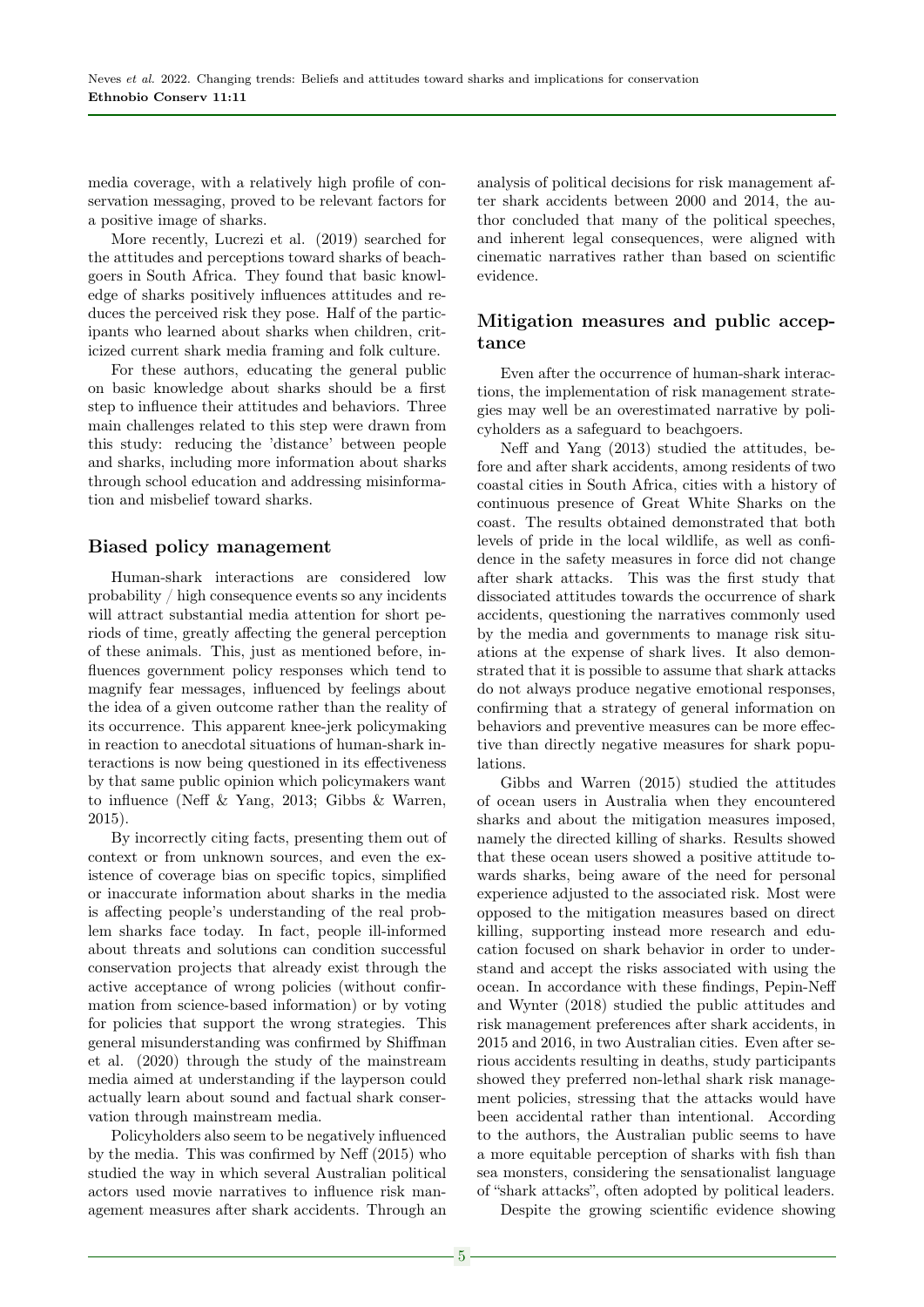media coverage, with a relatively high profile of conservation messaging, proved to be relevant factors for a positive image of sharks.

More recently, Lucrezi et al. (2019) searched for the attitudes and perceptions toward sharks of beachgoers in South Africa. They found that basic knowledge of sharks positively influences attitudes and reduces the perceived risk they pose. Half of the participants who learned about sharks when children, criticized current shark media framing and folk culture.

For these authors, educating the general public on basic knowledge about sharks should be a first step to influence their attitudes and behaviors. Three main challenges related to this step were drawn from this study: reducing the 'distance' between people and sharks, including more information about sharks through school education and addressing misinformation and misbelief toward sharks.

## Biased policy management

Human-shark interactions are considered low probability / high consequence events so any incidents will attract substantial media attention for short periods of time, greatly affecting the general perception of these animals. This, just as mentioned before, influences government policy responses which tend to magnify fear messages, influenced by feelings about the idea of a given outcome rather than the reality of its occurrence. This apparent knee-jerk policymaking in reaction to anecdotal situations of human-shark interactions is now being questioned in its effectiveness by that same public opinion which policymakers want to influence (Neff & Yang, 2013; Gibbs & Warren, 2015).

By incorrectly citing facts, presenting them out of context or from unknown sources, and even the existence of coverage bias on specific topics, simplified or inaccurate information about sharks in the media is affecting people's understanding of the real problem sharks face today. In fact, people ill-informed about threats and solutions can condition successful conservation projects that already exist through the active acceptance of wrong policies (without confirmation from science-based information) or by voting for policies that support the wrong strategies. This general misunderstanding was confirmed by Shiffman et al. (2020) through the study of the mainstream media aimed at understanding if the layperson could actually learn about sound and factual shark conservation through mainstream media.

Policyholders also seem to be negatively influenced by the media. This was confirmed by Neff (2015) who studied the way in which several Australian political actors used movie narratives to influence risk management measures after shark accidents. Through an

analysis of political decisions for risk management after shark accidents between 2000 and 2014, the author concluded that many of the political speeches, and inherent legal consequences, were aligned with cinematic narratives rather than based on scientific evidence.

## Mitigation measures and public acceptance

Even after the occurrence of human-shark interactions, the implementation of risk management strategies may well be an overestimated narrative by policyholders as a safeguard to beachgoers.

Neff and Yang (2013) studied the attitudes, before and after shark accidents, among residents of two coastal cities in South Africa, cities with a history of continuous presence of Great White Sharks on the coast. The results obtained demonstrated that both levels of pride in the local wildlife, as well as confidence in the safety measures in force did not change after shark attacks. This was the first study that dissociated attitudes towards the occurrence of shark accidents, questioning the narratives commonly used by the media and governments to manage risk situations at the expense of shark lives. It also demonstrated that it is possible to assume that shark attacks do not always produce negative emotional responses, confirming that a strategy of general information on behaviors and preventive measures can be more effective than directly negative measures for shark populations.

Gibbs and Warren (2015) studied the attitudes of ocean users in Australia when they encountered sharks and about the mitigation measures imposed, namely the directed killing of sharks. Results showed that these ocean users showed a positive attitude towards sharks, being aware of the need for personal experience adjusted to the associated risk. Most were opposed to the mitigation measures based on direct killing, supporting instead more research and education focused on shark behavior in order to understand and accept the risks associated with using the ocean. In accordance with these findings, Pepin-Neff and Wynter (2018) studied the public attitudes and risk management preferences after shark accidents, in 2015 and 2016, in two Australian cities. Even after serious accidents resulting in deaths, study participants showed they preferred non-lethal shark risk management policies, stressing that the attacks would have been accidental rather than intentional. According to the authors, the Australian public seems to have a more equitable perception of sharks with fish than sea monsters, considering the sensationalist language of "shark attacks", often adopted by political leaders.

Despite the growing scientific evidence showing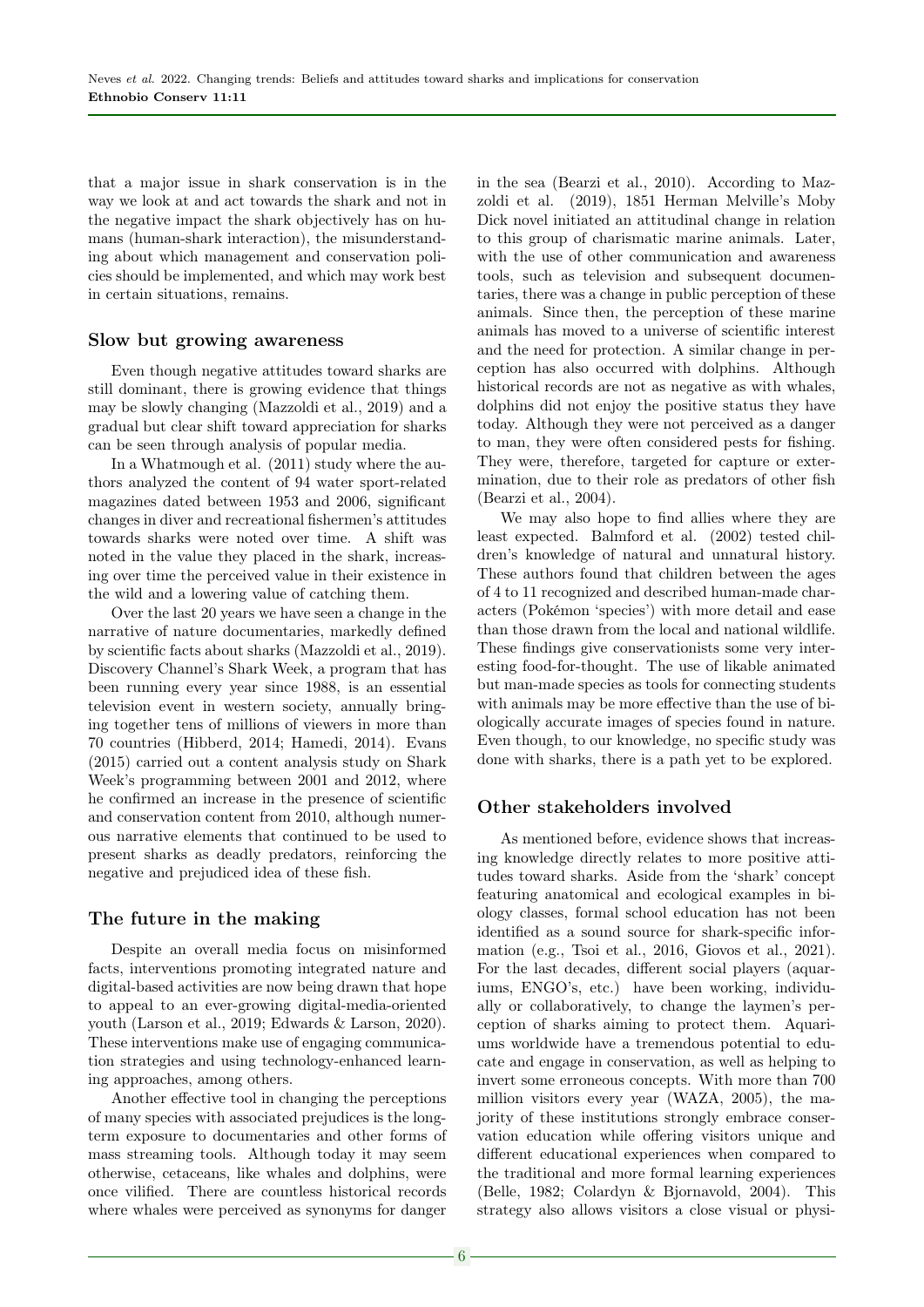that a major issue in shark conservation is in the way we look at and act towards the shark and not in the negative impact the shark objectively has on humans (human-shark interaction), the misunderstanding about which management and conservation policies should be implemented, and which may work best in certain situations, remains.

#### Slow but growing awareness

Even though negative attitudes toward sharks are still dominant, there is growing evidence that things may be slowly changing (Mazzoldi et al., 2019) and a gradual but clear shift toward appreciation for sharks can be seen through analysis of popular media.

In a Whatmough et al. (2011) study where the authors analyzed the content of 94 water sport-related magazines dated between 1953 and 2006, significant changes in diver and recreational fishermen's attitudes towards sharks were noted over time. A shift was noted in the value they placed in the shark, increasing over time the perceived value in their existence in the wild and a lowering value of catching them.

Over the last 20 years we have seen a change in the narrative of nature documentaries, markedly defined by scientific facts about sharks (Mazzoldi et al., 2019). Discovery Channel's Shark Week, a program that has been running every year since 1988, is an essential television event in western society, annually bringing together tens of millions of viewers in more than 70 countries (Hibberd, 2014; Hamedi, 2014). Evans (2015) carried out a content analysis study on Shark Week's programming between 2001 and 2012, where he confirmed an increase in the presence of scientific and conservation content from 2010, although numerous narrative elements that continued to be used to present sharks as deadly predators, reinforcing the negative and prejudiced idea of these fish.

# The future in the making

Despite an overall media focus on misinformed facts, interventions promoting integrated nature and digital-based activities are now being drawn that hope to appeal to an ever-growing digital-media-oriented youth (Larson et al., 2019; Edwards & Larson, 2020). These interventions make use of engaging communication strategies and using technology-enhanced learning approaches, among others.

Another effective tool in changing the perceptions of many species with associated prejudices is the longterm exposure to documentaries and other forms of mass streaming tools. Although today it may seem otherwise, cetaceans, like whales and dolphins, were once vilified. There are countless historical records where whales were perceived as synonyms for danger

in the sea (Bearzi et al., 2010). According to Mazzoldi et al. (2019), 1851 Herman Melville's Moby Dick novel initiated an attitudinal change in relation to this group of charismatic marine animals. Later, with the use of other communication and awareness tools, such as television and subsequent documentaries, there was a change in public perception of these animals. Since then, the perception of these marine animals has moved to a universe of scientific interest and the need for protection. A similar change in perception has also occurred with dolphins. Although historical records are not as negative as with whales, dolphins did not enjoy the positive status they have today. Although they were not perceived as a danger to man, they were often considered pests for fishing. They were, therefore, targeted for capture or extermination, due to their role as predators of other fish (Bearzi et al., 2004).

We may also hope to find allies where they are least expected. Balmford et al. (2002) tested children's knowledge of natural and unnatural history. These authors found that children between the ages of 4 to 11 recognized and described human-made characters (Pokémon 'species') with more detail and ease than those drawn from the local and national wildlife. These findings give conservationists some very interesting food-for-thought. The use of likable animated but man-made species as tools for connecting students with animals may be more effective than the use of biologically accurate images of species found in nature. Even though, to our knowledge, no specific study was done with sharks, there is a path yet to be explored.

# Other stakeholders involved

As mentioned before, evidence shows that increasing knowledge directly relates to more positive attitudes toward sharks. Aside from the 'shark' concept featuring anatomical and ecological examples in biology classes, formal school education has not been identified as a sound source for shark-specific information (e.g., Tsoi et al., 2016, Giovos et al., 2021). For the last decades, different social players (aquariums, ENGO's, etc.) have been working, individually or collaboratively, to change the laymen's perception of sharks aiming to protect them. Aquariums worldwide have a tremendous potential to educate and engage in conservation, as well as helping to invert some erroneous concepts. With more than 700 million visitors every year (WAZA, 2005), the majority of these institutions strongly embrace conservation education while offering visitors unique and different educational experiences when compared to the traditional and more formal learning experiences (Belle, 1982; Colardyn & Bjornavold, 2004). This strategy also allows visitors a close visual or physi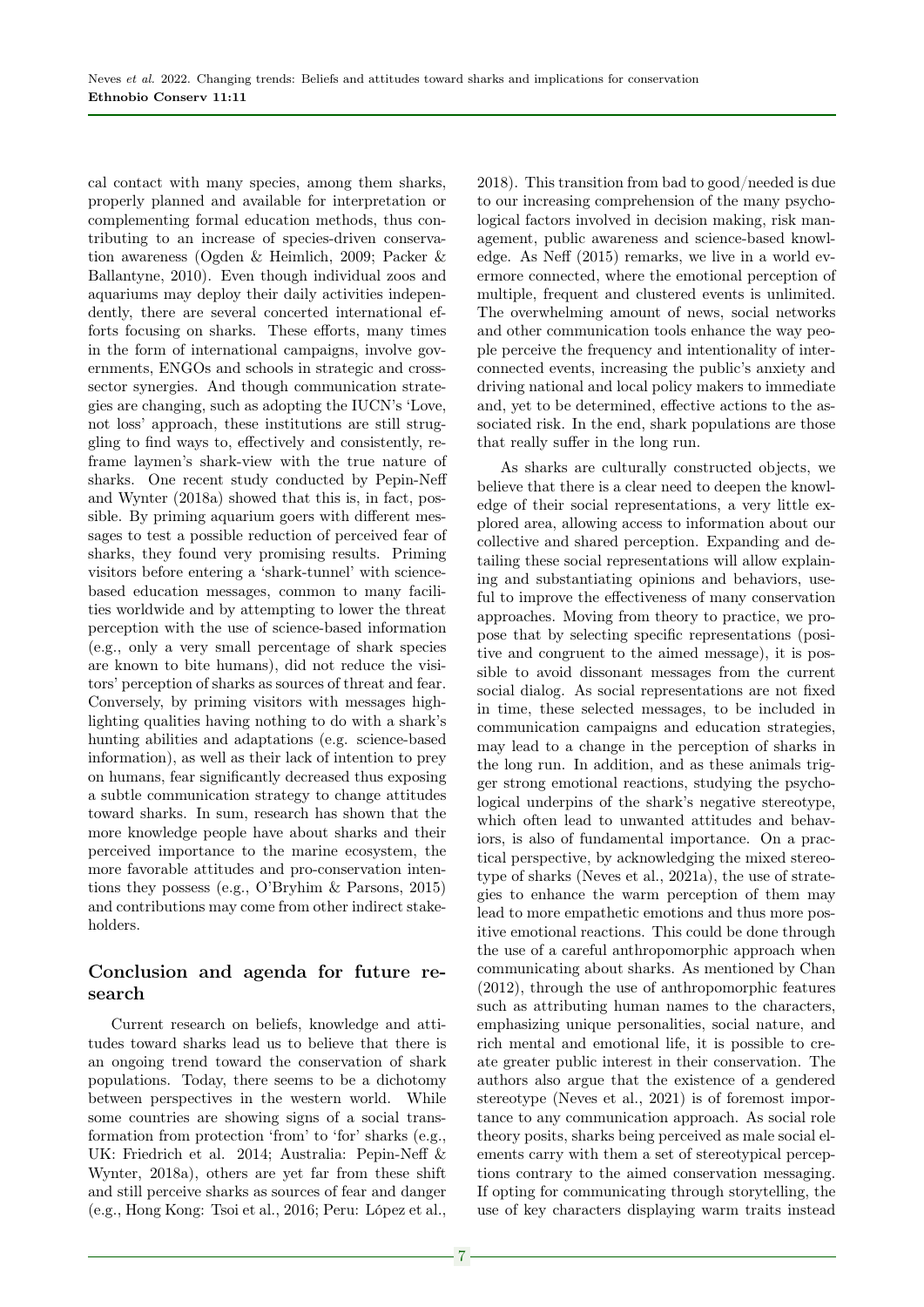cal contact with many species, among them sharks, properly planned and available for interpretation or complementing formal education methods, thus contributing to an increase of species-driven conservation awareness (Ogden & Heimlich, 2009; Packer & Ballantyne, 2010). Even though individual zoos and aquariums may deploy their daily activities independently, there are several concerted international efforts focusing on sharks. These efforts, many times in the form of international campaigns, involve governments, ENGOs and schools in strategic and crosssector synergies. And though communication strategies are changing, such as adopting the IUCN's 'Love, not loss' approach, these institutions are still struggling to find ways to, effectively and consistently, reframe laymen's shark-view with the true nature of sharks. One recent study conducted by Pepin-Neff and Wynter (2018a) showed that this is, in fact, possible. By priming aquarium goers with different messages to test a possible reduction of perceived fear of sharks, they found very promising results. Priming visitors before entering a 'shark-tunnel' with sciencebased education messages, common to many facilities worldwide and by attempting to lower the threat perception with the use of science-based information (e.g., only a very small percentage of shark species are known to bite humans), did not reduce the visitors' perception of sharks as sources of threat and fear. Conversely, by priming visitors with messages highlighting qualities having nothing to do with a shark's hunting abilities and adaptations (e.g. science-based information), as well as their lack of intention to prey on humans, fear significantly decreased thus exposing a subtle communication strategy to change attitudes toward sharks. In sum, research has shown that the more knowledge people have about sharks and their perceived importance to the marine ecosystem, the more favorable attitudes and pro-conservation intentions they possess (e.g., O'Bryhim & Parsons, 2015) and contributions may come from other indirect stakeholders.

# Conclusion and agenda for future research

Current research on beliefs, knowledge and attitudes toward sharks lead us to believe that there is an ongoing trend toward the conservation of shark populations. Today, there seems to be a dichotomy between perspectives in the western world. While some countries are showing signs of a social transformation from protection 'from' to 'for' sharks (e.g., UK: Friedrich et al. 2014; Australia: Pepin-Neff & Wynter, 2018a), others are yet far from these shift and still perceive sharks as sources of fear and danger (e.g., Hong Kong: Tsoi et al., 2016; Peru: López et al.,

2018). This transition from bad to good/needed is due to our increasing comprehension of the many psychological factors involved in decision making, risk management, public awareness and science-based knowledge. As Neff (2015) remarks, we live in a world evermore connected, where the emotional perception of multiple, frequent and clustered events is unlimited. The overwhelming amount of news, social networks and other communication tools enhance the way people perceive the frequency and intentionality of interconnected events, increasing the public's anxiety and driving national and local policy makers to immediate and, yet to be determined, effective actions to the associated risk. In the end, shark populations are those that really suffer in the long run.

As sharks are culturally constructed objects, we believe that there is a clear need to deepen the knowledge of their social representations, a very little explored area, allowing access to information about our collective and shared perception. Expanding and detailing these social representations will allow explaining and substantiating opinions and behaviors, useful to improve the effectiveness of many conservation approaches. Moving from theory to practice, we propose that by selecting specific representations (positive and congruent to the aimed message), it is possible to avoid dissonant messages from the current social dialog. As social representations are not fixed in time, these selected messages, to be included in communication campaigns and education strategies, may lead to a change in the perception of sharks in the long run. In addition, and as these animals trigger strong emotional reactions, studying the psychological underpins of the shark's negative stereotype, which often lead to unwanted attitudes and behaviors, is also of fundamental importance. On a practical perspective, by acknowledging the mixed stereotype of sharks (Neves et al., 2021a), the use of strategies to enhance the warm perception of them may lead to more empathetic emotions and thus more positive emotional reactions. This could be done through the use of a careful anthropomorphic approach when communicating about sharks. As mentioned by Chan (2012), through the use of anthropomorphic features such as attributing human names to the characters, emphasizing unique personalities, social nature, and rich mental and emotional life, it is possible to create greater public interest in their conservation. The authors also argue that the existence of a gendered stereotype (Neves et al., 2021) is of foremost importance to any communication approach. As social role theory posits, sharks being perceived as male social elements carry with them a set of stereotypical perceptions contrary to the aimed conservation messaging. If opting for communicating through storytelling, the use of key characters displaying warm traits instead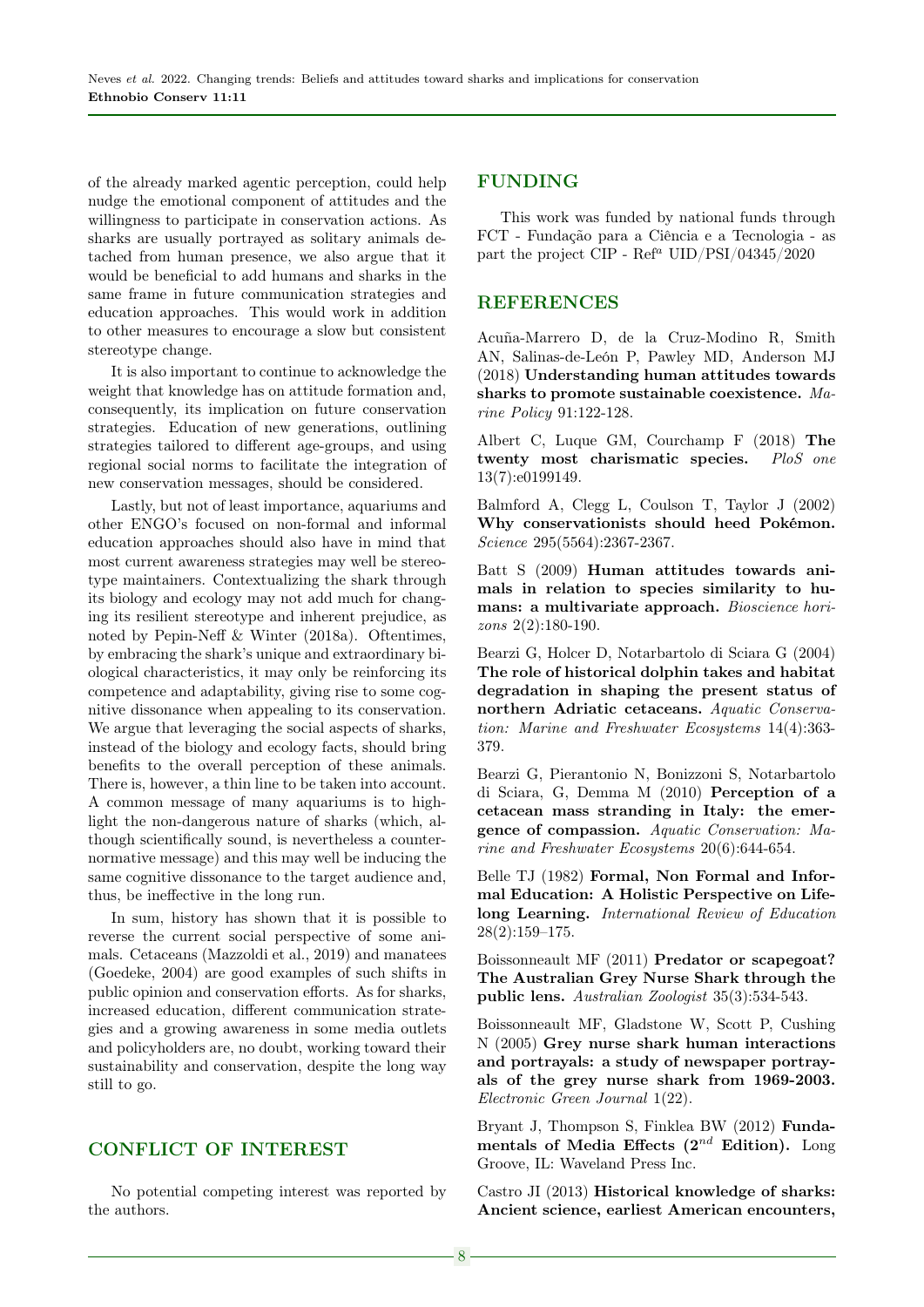of the already marked agentic perception, could help nudge the emotional component of attitudes and the willingness to participate in conservation actions. As sharks are usually portrayed as solitary animals detached from human presence, we also argue that it would be beneficial to add humans and sharks in the same frame in future communication strategies and education approaches. This would work in addition to other measures to encourage a slow but consistent stereotype change.

It is also important to continue to acknowledge the weight that knowledge has on attitude formation and, consequently, its implication on future conservation strategies. Education of new generations, outlining strategies tailored to different age-groups, and using regional social norms to facilitate the integration of new conservation messages, should be considered.

Lastly, but not of least importance, aquariums and other ENGO's focused on non-formal and informal education approaches should also have in mind that most current awareness strategies may well be stereotype maintainers. Contextualizing the shark through its biology and ecology may not add much for changing its resilient stereotype and inherent prejudice, as noted by Pepin-Neff & Winter (2018a). Oftentimes, by embracing the shark's unique and extraordinary biological characteristics, it may only be reinforcing its competence and adaptability, giving rise to some cognitive dissonance when appealing to its conservation. We argue that leveraging the social aspects of sharks, instead of the biology and ecology facts, should bring benefits to the overall perception of these animals. There is, however, a thin line to be taken into account. A common message of many aquariums is to highlight the non-dangerous nature of sharks (which, although scientifically sound, is nevertheless a counternormative message) and this may well be inducing the same cognitive dissonance to the target audience and, thus, be ineffective in the long run.

In sum, history has shown that it is possible to reverse the current social perspective of some animals. Cetaceans (Mazzoldi et al., 2019) and manatees (Goedeke, 2004) are good examples of such shifts in public opinion and conservation efforts. As for sharks, increased education, different communication strategies and a growing awareness in some media outlets and policyholders are, no doubt, working toward their sustainability and conservation, despite the long way still to go.

#### CONFLICT OF INTEREST

No potential competing interest was reported by the authors.

#### FUNDING

This work was funded by national funds through FCT - Fundação para a Ciência e a Tecnologia - as part the project CIP -  $\text{Ref}^a$  UID/PSI/04345/2020

#### REFERENCES

Acuña-Marrero D, de la Cruz-Modino R, Smith AN, Salinas-de-León P, Pawley MD, Anderson MJ (2018) Understanding human attitudes towards sharks to promote sustainable coexistence. Marine Policy 91:122-128.

Albert C, Luque GM, Courchamp F (2018) The twenty most charismatic species. PloS one 13(7):e0199149.

Balmford A, Clegg L, Coulson T, Taylor J (2002) Why conservationists should heed Pokémon. Science 295(5564):2367-2367.

Batt S (2009) Human attitudes towards animals in relation to species similarity to humans: a multivariate approach. Bioscience horizons 2(2):180-190.

Bearzi G, Holcer D, Notarbartolo di Sciara G (2004) The role of historical dolphin takes and habitat degradation in shaping the present status of northern Adriatic cetaceans. Aquatic Conservation: Marine and Freshwater Ecosystems 14(4):363- 379.

Bearzi G, Pierantonio N, Bonizzoni S, Notarbartolo di Sciara, G, Demma M (2010) Perception of a cetacean mass stranding in Italy: the emergence of compassion. Aquatic Conservation: Marine and Freshwater Ecosystems 20(6):644-654.

Belle TJ (1982) Formal, Non Formal and Informal Education: A Holistic Perspective on Lifelong Learning. International Review of Education 28(2):159–175.

Boissonneault MF (2011) Predator or scapegoat? The Australian Grey Nurse Shark through the public lens. Australian Zoologist 35(3):534-543.

Boissonneault MF, Gladstone W, Scott P, Cushing N (2005) Grey nurse shark human interactions and portrayals: a study of newspaper portrayals of the grey nurse shark from 1969-2003. Electronic Green Journal 1(22).

Bryant J, Thompson S, Finklea BW (2012) Fundamentals of Media Effects  $(2^{nd}$  Edition). Long Groove, IL: Waveland Press Inc.

Castro JI (2013) Historical knowledge of sharks: Ancient science, earliest American encounters,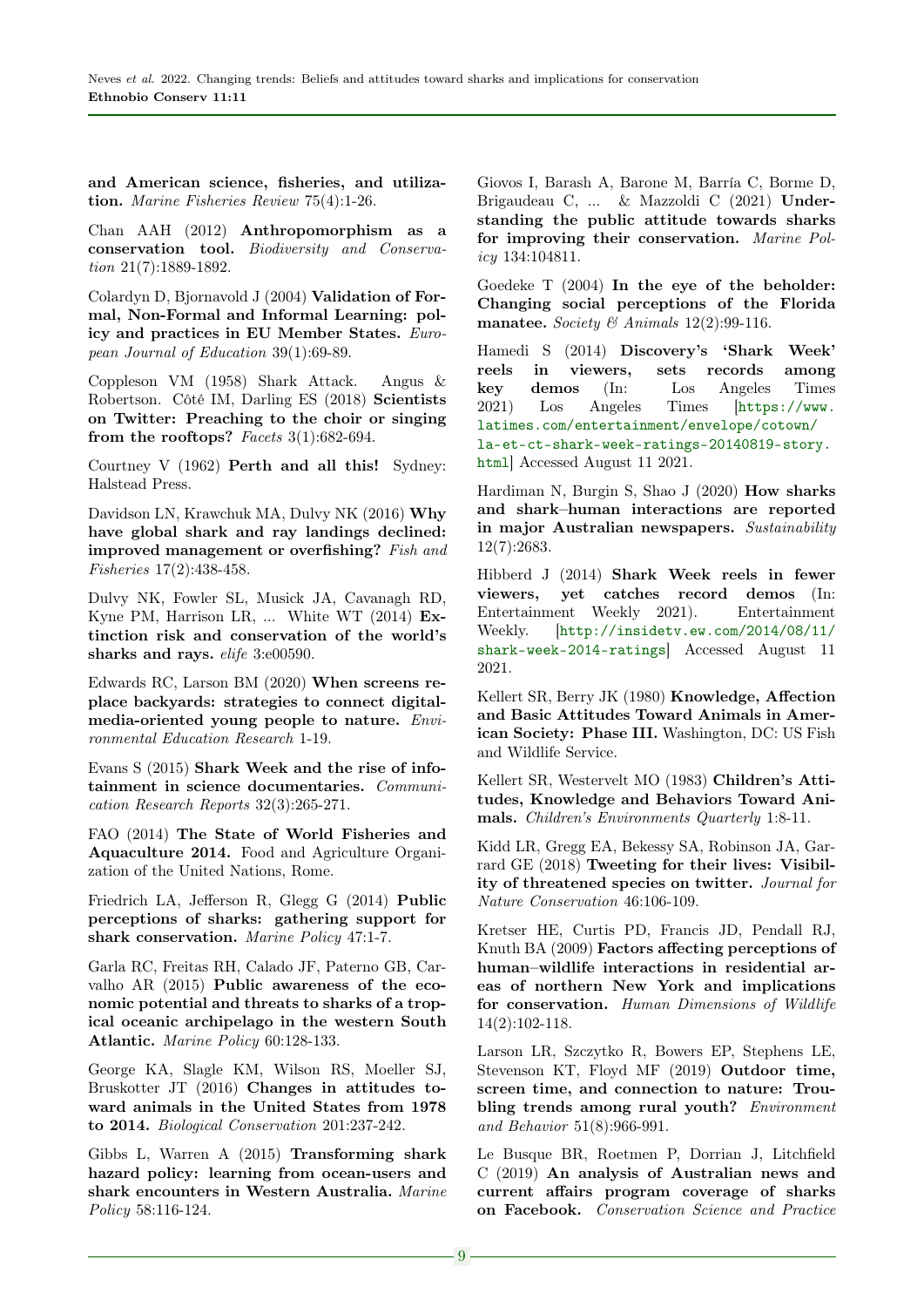and American science, fisheries, and utilization. Marine Fisheries Review 75(4):1-26.

Chan AAH (2012) Anthropomorphism as a conservation tool. Biodiversity and Conservation 21(7):1889-1892.

Colardyn D, Bjornavold J (2004) Validation of Formal, Non-Formal and Informal Learning: policy and practices in EU Member States. European Journal of Education 39(1):69-89.

Coppleson VM (1958) Shark Attack. Angus & Robertson. Côté IM, Darling ES (2018) Scientists on Twitter: Preaching to the choir or singing from the rooftops? Facets  $3(1):682-694$ .

Courtney V (1962) Perth and all this! Sydney: Halstead Press.

Davidson LN, Krawchuk MA, Dulvy NK (2016) Why have global shark and ray landings declined: improved management or overfishing? Fish and Fisheries 17(2):438-458.

Dulvy NK, Fowler SL, Musick JA, Cavanagh RD, Kyne PM, Harrison LR, ... White WT (2014) Extinction risk and conservation of the world's sharks and rays. elife 3:e00590.

Edwards RC, Larson BM (2020) When screens replace backyards: strategies to connect digitalmedia-oriented young people to nature. Environmental Education Research 1-19.

Evans S (2015) Shark Week and the rise of infotainment in science documentaries. Communication Research Reports 32(3):265-271.

FAO (2014) The State of World Fisheries and Aquaculture 2014. Food and Agriculture Organization of the United Nations, Rome.

Friedrich LA, Jefferson R, Glegg G (2014) Public perceptions of sharks: gathering support for shark conservation. Marine Policy 47:1-7.

Garla RC, Freitas RH, Calado JF, Paterno GB, Carvalho AR (2015) Public awareness of the economic potential and threats to sharks of a tropical oceanic archipelago in the western South Atlantic. Marine Policy 60:128-133.

George KA, Slagle KM, Wilson RS, Moeller SJ, Bruskotter JT (2016) Changes in attitudes toward animals in the United States from 1978 to 2014. Biological Conservation 201:237-242.

Gibbs L, Warren A (2015) Transforming shark hazard policy: learning from ocean-users and shark encounters in Western Australia. Marine Policy 58:116-124.

Giovos I, Barash A, Barone M, Barría C, Borme D, Brigaudeau C, ... & Mazzoldi C (2021) Understanding the public attitude towards sharks for improving their conservation. Marine Policy 134:104811.

Goedeke T (2004) In the eye of the beholder: Changing social perceptions of the Florida manatee. Society & Animals 12(2):99-116.

Hamedi S (2014) Discovery's 'Shark Week' reels in viewers, sets records among key demos (In: Los Angeles Times 2021) Los Angeles Times [[https://www.](https://www.latimes.com/entertainment/envelope/cotown/la-et-ct-shark-week-ratings-20140819-story.html) [latimes.com/entertainment/envelope/cotown/](https://www.latimes.com/entertainment/envelope/cotown/la-et-ct-shark-week-ratings-20140819-story.html) [la-et-ct-shark-week-ratings-20140819-story.](https://www.latimes.com/entertainment/envelope/cotown/la-et-ct-shark-week-ratings-20140819-story.html) [html](https://www.latimes.com/entertainment/envelope/cotown/la-et-ct-shark-week-ratings-20140819-story.html)] Accessed August 11 2021.

Hardiman N, Burgin S, Shao J (2020) How sharks and shark–human interactions are reported in major Australian newspapers. Sustainability 12(7):2683.

Hibberd J (2014) Shark Week reels in fewer viewers, yet catches record demos (In: Entertainment Weekly 2021). Entertainment Weekly. [[http://insidetv.ew.com/2014/08/11/](http://insidetv.ew.com/2014/08/11/shark-week-2014-ratings) [shark-week-2014-ratings](http://insidetv.ew.com/2014/08/11/shark-week-2014-ratings)] Accessed August 11 2021.

Kellert SR, Berry JK (1980) Knowledge, Affection and Basic Attitudes Toward Animals in American Society: Phase III. Washington, DC: US Fish and Wildlife Service.

Kellert SR, Westervelt MO (1983) Children's Attitudes, Knowledge and Behaviors Toward Animals. Children's Environments Quarterly 1:8-11.

Kidd LR, Gregg EA, Bekessy SA, Robinson JA, Garrard GE (2018) Tweeting for their lives: Visibility of threatened species on twitter. Journal for Nature Conservation 46:106-109.

Kretser HE, Curtis PD, Francis JD, Pendall RJ, Knuth BA (2009) Factors affecting perceptions of human–wildlife interactions in residential areas of northern New York and implications for conservation. Human Dimensions of Wildlife 14(2):102-118.

Larson LR, Szczytko R, Bowers EP, Stephens LE, Stevenson KT, Floyd MF (2019) Outdoor time, screen time, and connection to nature: Troubling trends among rural youth? Environment and Behavior 51(8):966-991.

Le Busque BR, Roetmen P, Dorrian J, Litchfield C (2019) An analysis of Australian news and current affairs program coverage of sharks on Facebook. Conservation Science and Practice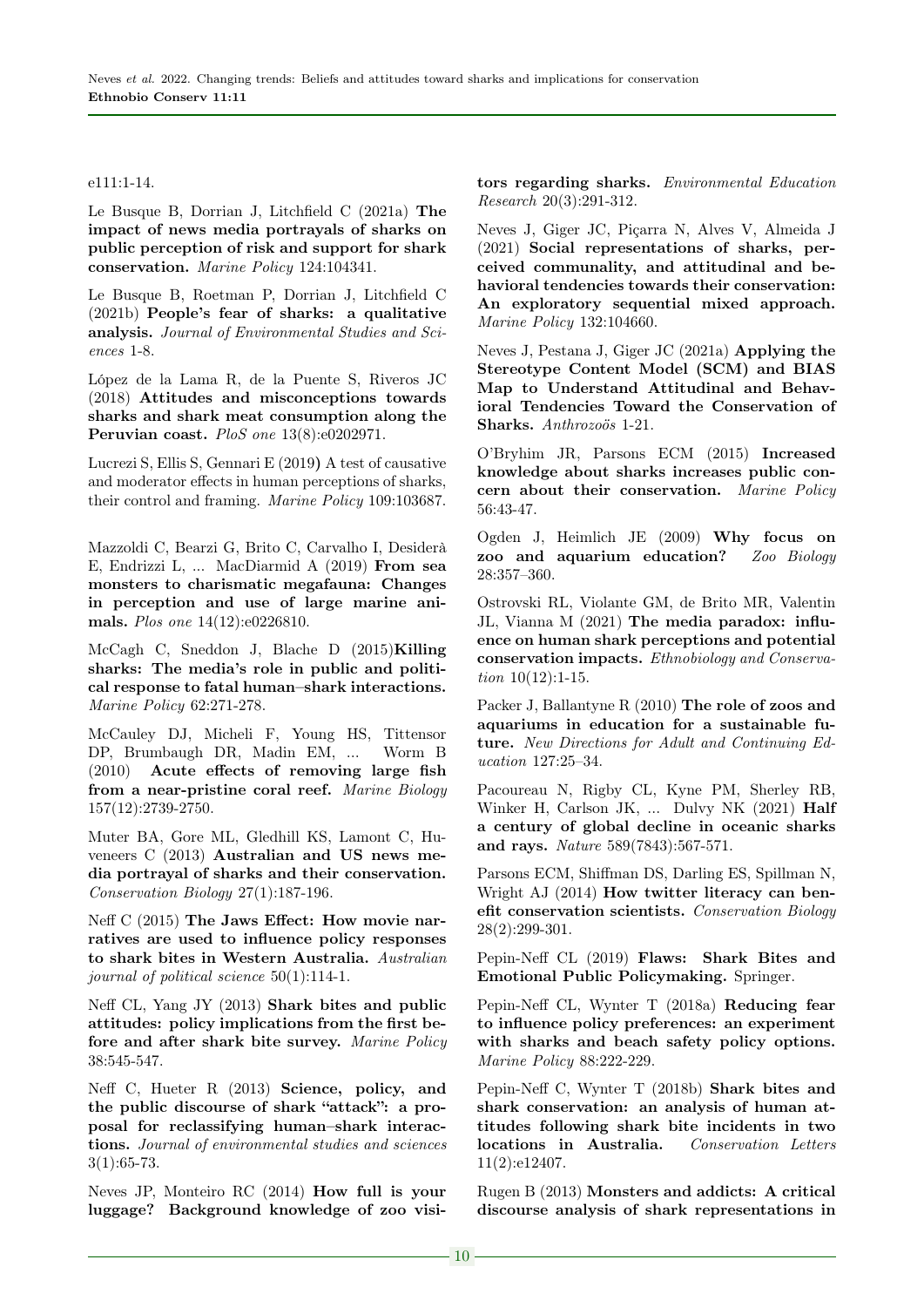#### e111:1-14.

Le Busque B, Dorrian J, Litchfield C (2021a) The impact of news media portrayals of sharks on public perception of risk and support for shark conservation. Marine Policy 124:104341.

Le Busque B, Roetman P, Dorrian J, Litchfield C (2021b) People's fear of sharks: a qualitative analysis. Journal of Environmental Studies and Sciences 1-8.

López de la Lama R, de la Puente S, Riveros JC (2018) Attitudes and misconceptions towards sharks and shark meat consumption along the Peruvian coast. PloS one 13(8):e0202971.

Lucrezi S, Ellis S, Gennari E (2019) A test of causative and moderator effects in human perceptions of sharks, their control and framing. Marine Policy 109:103687.

Mazzoldi C, Bearzi G, Brito C, Carvalho I, Desiderà E, Endrizzi L, ... MacDiarmid A (2019) From sea monsters to charismatic megafauna: Changes in perception and use of large marine animals. Plos one 14(12):e0226810.

McCagh C, Sneddon J, Blache D (2015)Killing sharks: The media's role in public and political response to fatal human–shark interactions. Marine Policy 62:271-278.

McCauley DJ, Micheli F, Young HS, Tittensor DP, Brumbaugh DR, Madin EM, ... Worm B (2010) Acute effects of removing large fish from a near-pristine coral reef. Marine Biology 157(12):2739-2750.

Muter BA, Gore ML, Gledhill KS, Lamont C, Huveneers C (2013) Australian and US news media portrayal of sharks and their conservation. Conservation Biology 27(1):187-196.

Neff C (2015) The Jaws Effect: How movie narratives are used to influence policy responses to shark bites in Western Australia. Australian journal of political science 50(1):114-1.

Neff CL, Yang JY (2013) Shark bites and public attitudes: policy implications from the first before and after shark bite survey. Marine Policy 38:545-547.

Neff C, Hueter R (2013) Science, policy, and the public discourse of shark "attack": a proposal for reclassifying human–shark interactions. Journal of environmental studies and sciences 3(1):65-73.

Neves JP, Monteiro RC (2014) How full is your luggage? Background knowledge of zoo visitors regarding sharks. Environmental Education Research 20(3):291-312.

Neves J, Giger JC, Piçarra N, Alves V, Almeida J (2021) Social representations of sharks, perceived communality, and attitudinal and behavioral tendencies towards their conservation: An exploratory sequential mixed approach. Marine Policy 132:104660.

Neves J, Pestana J, Giger JC (2021a) Applying the Stereotype Content Model (SCM) and BIAS Map to Understand Attitudinal and Behavioral Tendencies Toward the Conservation of Sharks. Anthrozoös 1-21.

O'Bryhim JR, Parsons ECM (2015) Increased knowledge about sharks increases public concern about their conservation. Marine Policy 56:43-47.

Ogden J, Heimlich JE (2009) Why focus on zoo and aquarium education? Zoo Biology 28:357–360.

Ostrovski RL, Violante GM, de Brito MR, Valentin JL, Vianna M (2021) The media paradox: influence on human shark perceptions and potential conservation impacts. Ethnobiology and Conserva*tion*  $10(12):1-15$ .

Packer J, Ballantyne R (2010) The role of zoos and aquariums in education for a sustainable future. New Directions for Adult and Continuing Education 127:25–34.

Pacoureau N, Rigby CL, Kyne PM, Sherley RB, Winker H, Carlson JK, ... Dulvy NK (2021) Half a century of global decline in oceanic sharks and rays. Nature 589(7843):567-571.

Parsons ECM, Shiffman DS, Darling ES, Spillman N, Wright AJ (2014) How twitter literacy can benefit conservation scientists. Conservation Biology 28(2):299-301.

Pepin-Neff CL (2019) Flaws: Shark Bites and Emotional Public Policymaking. Springer.

Pepin-Neff CL, Wynter T (2018a) Reducing fear to influence policy preferences: an experiment with sharks and beach safety policy options. Marine Policy 88:222-229.

Pepin-Neff C, Wynter T (2018b) Shark bites and shark conservation: an analysis of human attitudes following shark bite incidents in two locations in Australia. Conservation Letters 11(2):e12407.

Rugen B (2013) Monsters and addicts: A critical discourse analysis of shark representations in